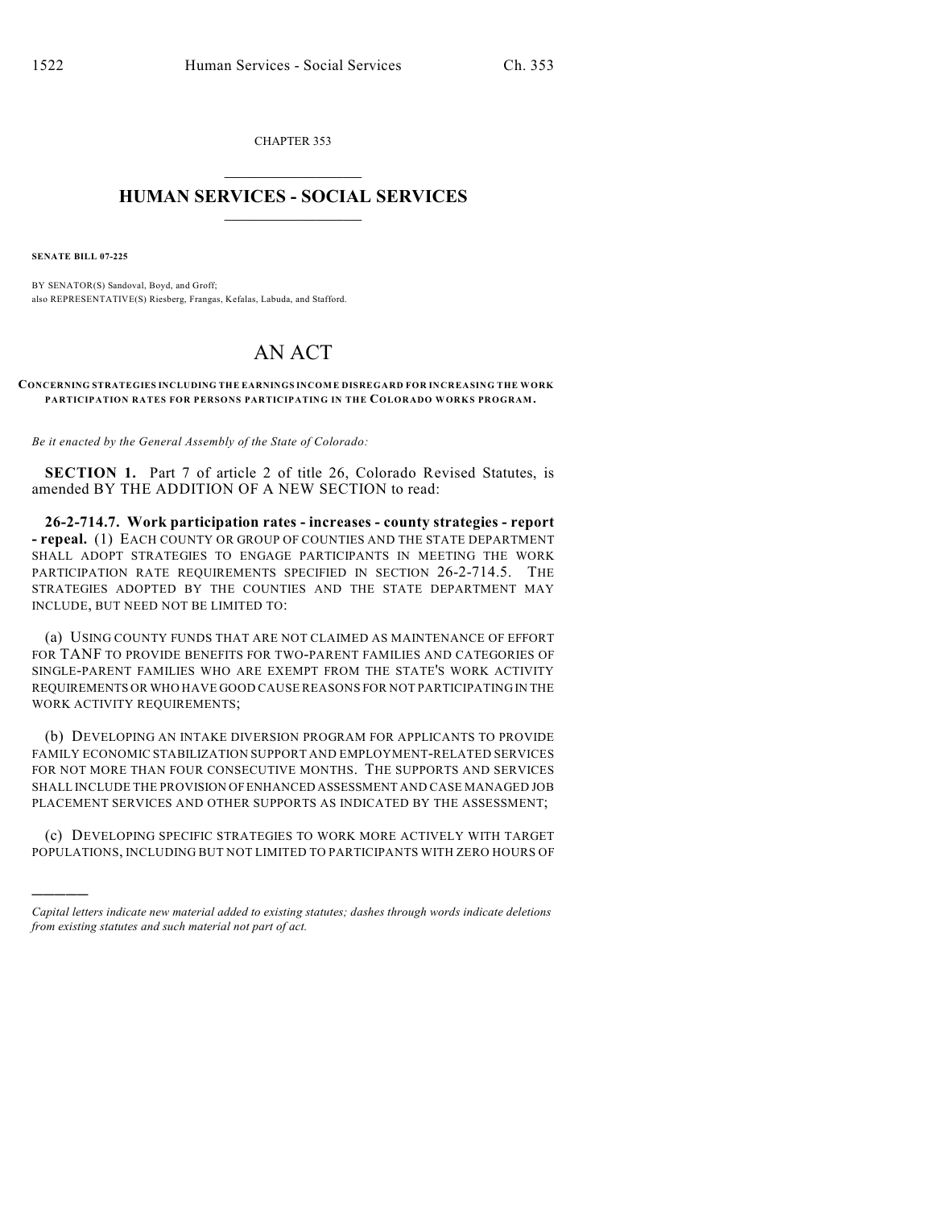CHAPTER 353  $\overline{\phantom{a}}$  . The set of the set of the set of the set of the set of the set of the set of the set of the set of the set of the set of the set of the set of the set of the set of the set of the set of the set of the set o

## **HUMAN SERVICES - SOCIAL SERVICES**  $\frac{1}{2}$  ,  $\frac{1}{2}$  ,  $\frac{1}{2}$  ,  $\frac{1}{2}$  ,  $\frac{1}{2}$  ,  $\frac{1}{2}$  ,  $\frac{1}{2}$

**SENATE BILL 07-225**

)))))

BY SENATOR(S) Sandoval, Boyd, and Groff; also REPRESENTATIVE(S) Riesberg, Frangas, Kefalas, Labuda, and Stafford.

## AN ACT

**CONCERNING STRATEGIES INCLUDING THE EARNINGS INCOME DISREGARD FOR INCREASING THE WORK PARTICIPATION RATES FOR PERSONS PARTICIPATING IN THE COLORADO WORKS PROGRAM.**

*Be it enacted by the General Assembly of the State of Colorado:*

**SECTION 1.** Part 7 of article 2 of title 26, Colorado Revised Statutes, is amended BY THE ADDITION OF A NEW SECTION to read:

**26-2-714.7. Work participation rates - increases - county strategies - report - repeal.** (1) EACH COUNTY OR GROUP OF COUNTIES AND THE STATE DEPARTMENT SHALL ADOPT STRATEGIES TO ENGAGE PARTICIPANTS IN MEETING THE WORK PARTICIPATION RATE REQUIREMENTS SPECIFIED IN SECTION 26-2-714.5. THE STRATEGIES ADOPTED BY THE COUNTIES AND THE STATE DEPARTMENT MAY INCLUDE, BUT NEED NOT BE LIMITED TO:

(a) USING COUNTY FUNDS THAT ARE NOT CLAIMED AS MAINTENANCE OF EFFORT FOR TANF TO PROVIDE BENEFITS FOR TWO-PARENT FAMILIES AND CATEGORIES OF SINGLE-PARENT FAMILIES WHO ARE EXEMPT FROM THE STATE'S WORK ACTIVITY REQUIREMENTS OR WHO HAVE GOOD CAUSE REASONS FOR NOT PARTICIPATING IN THE WORK ACTIVITY REQUIREMENTS;

(b) DEVELOPING AN INTAKE DIVERSION PROGRAM FOR APPLICANTS TO PROVIDE FAMILY ECONOMIC STABILIZATION SUPPORT AND EMPLOYMENT-RELATED SERVICES FOR NOT MORE THAN FOUR CONSECUTIVE MONTHS. THE SUPPORTS AND SERVICES SHALL INCLUDE THE PROVISION OF ENHANCED ASSESSMENT AND CASE MANAGED JOB PLACEMENT SERVICES AND OTHER SUPPORTS AS INDICATED BY THE ASSESSMENT;

(c) DEVELOPING SPECIFIC STRATEGIES TO WORK MORE ACTIVELY WITH TARGET POPULATIONS, INCLUDING BUT NOT LIMITED TO PARTICIPANTS WITH ZERO HOURS OF

*Capital letters indicate new material added to existing statutes; dashes through words indicate deletions from existing statutes and such material not part of act.*